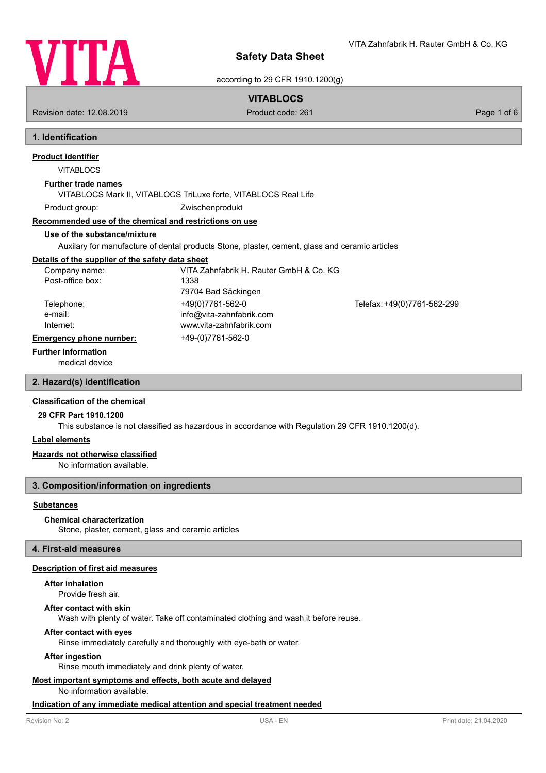

VITA Zahnfabrik H. Rauter GmbH & Co. KG

according to 29 CFR 1910.1200(g)

# **VITABLOCS**

Revision date: 12.08.2019 **Product code: 261** Product code: 261 **Page 1 of 6** Page 1 of 6

# **1. Identification**

**Product identifier**

VITABLOCS

#### **Further trade names**

VITABLOCS Mark II, VITABLOCS TriLuxe forte, VITABLOCS Real Life

Product group: Zwischenprodukt

## **Recommended use of the chemical and restrictions on use**

## **Use of the substance/mixture**

Auxilary for manufacture of dental products Stone, plaster, cement, glass and ceramic articles

#### **Details of the supplier of the safety data sheet**

| Company name:                  | VITA Zahnfabrik H. Rauter GmbH & Co. KG |                             |
|--------------------------------|-----------------------------------------|-----------------------------|
| Post-office box:               | 1338                                    |                             |
|                                | 79704 Bad Säckingen                     |                             |
| Telephone:                     | +49(0)7761-562-0                        | Telefax: +49(0)7761-562-299 |
| e-mail:                        | info@vita-zahnfabrik.com                |                             |
| Internet:                      | www.vita-zahnfabrik.com                 |                             |
| <b>Emergency phone number:</b> | +49-(0)7761-562-0                       |                             |

## **Further Information**

medical device

## **2. Hazard(s) identification**

#### **Classification of the chemical**

#### **29 CFR Part 1910.1200**

This substance is not classified as hazardous in accordance with Regulation 29 CFR 1910.1200(d).

## **Label elements**

## **Hazards not otherwise classified**

No information available.

## **3. Composition/information on ingredients**

#### **Substances**

#### **Chemical characterization**

Stone, plaster, cement, glass and ceramic articles

#### **4. First-aid measures**

#### **Description of first aid measures**

#### **After inhalation**

Provide fresh air.

#### **After contact with skin**

Wash with plenty of water. Take off contaminated clothing and wash it before reuse.

#### **After contact with eyes**

Rinse immediately carefully and thoroughly with eye-bath or water.

## **After ingestion**

Rinse mouth immediately and drink plenty of water.

## **Most important symptoms and effects, both acute and delayed**

No information available.

## **Indication of any immediate medical attention and special treatment needed**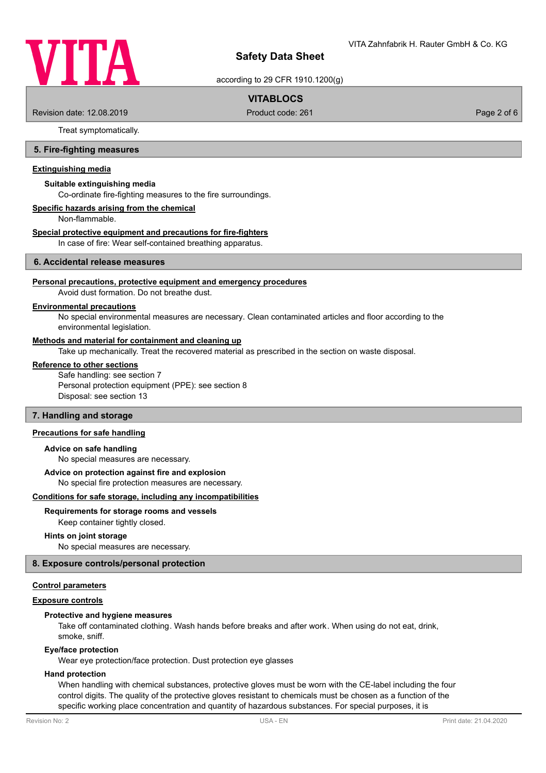

according to 29 CFR 1910.1200(g)

## **VITABLOCS**

Revision date: 12.08.2019 **Product code: 261** Product code: 261 **Page 2 of 6** Page 2 of 6

Treat symptomatically.

## **5. Fire-fighting measures**

## **Extinguishing media**

## **Suitable extinguishing media**

Co-ordinate fire-fighting measures to the fire surroundings.

#### **Specific hazards arising from the chemical**

Non-flammable.

#### **Special protective equipment and precautions for fire-fighters**

In case of fire: Wear self-contained breathing apparatus.

#### **6. Accidental release measures**

#### **Personal precautions, protective equipment and emergency procedures**

Avoid dust formation. Do not breathe dust.

#### **Environmental precautions**

No special environmental measures are necessary. Clean contaminated articles and floor according to the environmental legislation.

#### **Methods and material for containment and cleaning up**

Take up mechanically. Treat the recovered material as prescribed in the section on waste disposal.

#### **Reference to other sections**

Safe handling: see section 7 Personal protection equipment (PPE): see section 8 Disposal: see section 13

#### **7. Handling and storage**

## **Precautions for safe handling**

## **Advice on safe handling**

No special measures are necessary.

#### **Advice on protection against fire and explosion**

No special fire protection measures are necessary.

**Conditions for safe storage, including any incompatibilities**

Keep container tightly closed. **Requirements for storage rooms and vessels**

## **Hints on joint storage**

No special measures are necessary.

## **8. Exposure controls/personal protection**

## **Control parameters**

## **Exposure controls**

## **Protective and hygiene measures**

Take off contaminated clothing. Wash hands before breaks and after work. When using do not eat, drink, smoke, sniff.

## **Eye/face protection**

Wear eye protection/face protection. Dust protection eye glasses

## **Hand protection**

When handling with chemical substances, protective gloves must be worn with the CE-label including the four control digits. The quality of the protective gloves resistant to chemicals must be chosen as a function of the specific working place concentration and quantity of hazardous substances. For special purposes, it is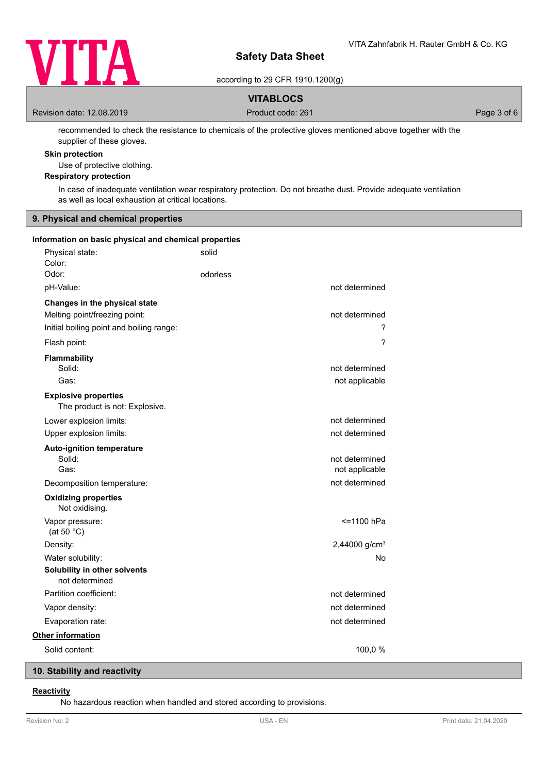

according to 29 CFR 1910.1200(g)

## **VITABLOCS**

Revision date: 12.08.2019 **Product code: 261** Product code: 261 **Page 3 of 6** Page 3 of 6

recommended to check the resistance to chemicals of the protective gloves mentioned above together with the supplier of these gloves.

#### **Skin protection**

Use of protective clothing.

## **Respiratory protection**

In case of inadequate ventilation wear respiratory protection. Do not breathe dust. Provide adequate ventilation as well as local exhaustion at critical locations.

## **9. Physical and chemical properties**

| Information on basic physical and chemical properties |          |                           |
|-------------------------------------------------------|----------|---------------------------|
| Physical state:                                       | solid    |                           |
| Color:                                                |          |                           |
| Odor:                                                 | odorless |                           |
| pH-Value:                                             |          | not determined            |
| Changes in the physical state                         |          |                           |
| Melting point/freezing point:                         |          | not determined            |
| Initial boiling point and boiling range:              |          | ?                         |
| Flash point:                                          |          | ?                         |
| Flammability                                          |          |                           |
| Solid:                                                |          | not determined            |
| Gas:                                                  |          | not applicable            |
| <b>Explosive properties</b>                           |          |                           |
| The product is not: Explosive.                        |          |                           |
| Lower explosion limits:                               |          | not determined            |
| Upper explosion limits:                               |          | not determined            |
| <b>Auto-ignition temperature</b>                      |          |                           |
| Solid:                                                |          | not determined            |
| Gas:                                                  |          | not applicable            |
| Decomposition temperature:                            |          | not determined            |
| <b>Oxidizing properties</b><br>Not oxidising.         |          |                           |
| Vapor pressure:                                       |          | <=1100 hPa                |
| (at 50 $^{\circ}$ C)                                  |          |                           |
| Density:                                              |          | 2,44000 g/cm <sup>3</sup> |
| Water solubility:                                     |          | No                        |
| Solubility in other solvents<br>not determined        |          |                           |
| Partition coefficient:                                |          | not determined            |
| Vapor density:                                        |          | not determined            |
| Evaporation rate:                                     |          | not determined            |
| Other information                                     |          |                           |
| Solid content:                                        |          | 100,0%                    |

## **10. Stability and reactivity**

## **Reactivity**

No hazardous reaction when handled and stored according to provisions.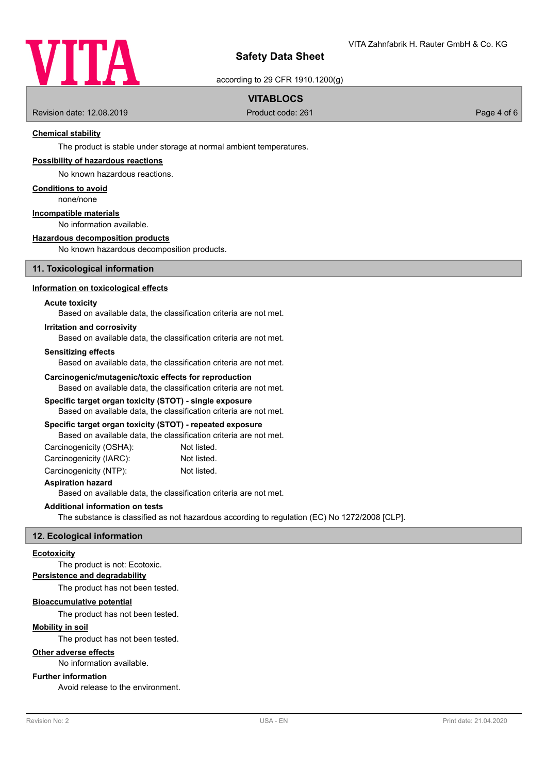

according to 29 CFR 1910.1200(g)

## **VITABLOCS**

Revision date: 12.08.2019 **Product code: 261** Product code: 261 **Page 4 of 6** Page 4 of 6

## **Chemical stability**

The product is stable under storage at normal ambient temperatures.

#### **Possibility of hazardous reactions**

No known hazardous reactions.

**Conditions to avoid**

none/none

#### **Incompatible materials**

No information available.

#### **Hazardous decomposition products**

No known hazardous decomposition products.

#### **11. Toxicological information**

#### **Information on toxicological effects**

#### **Acute toxicity**

Based on available data, the classification criteria are not met.

#### **Irritation and corrosivity**

Based on available data, the classification criteria are not met.

## **Sensitizing effects**

Based on available data, the classification criteria are not met.

## **Carcinogenic/mutagenic/toxic effects for reproduction**

Based on available data, the classification criteria are not met.

#### **Specific target organ toxicity (STOT) - single exposure**

Based on available data, the classification criteria are not met.

#### **Specific target organ toxicity (STOT) - repeated exposure**

Based on available data, the classification criteria are not met.

| Carcinogenicity (OSHA): | Not listed. |
|-------------------------|-------------|
| Carcinogenicity (IARC): | Not listed. |
| Carcinogenicity (NTP):  | Not listed. |

#### **Aspiration hazard**

Based on available data, the classification criteria are not met.

## **Additional information on tests**

The substance is classified as not hazardous according to regulation (EC) No 1272/2008 [CLP].

#### **12. Ecological information**

#### **Ecotoxicity**

The product is not: Ecotoxic.

**Persistence and degradability**

The product has not been tested.

#### **Bioaccumulative potential**

The product has not been tested.

## **Mobility in soil**

The product has not been tested.

#### **Other adverse effects**

No information available.

#### **Further information**

Avoid release to the environment.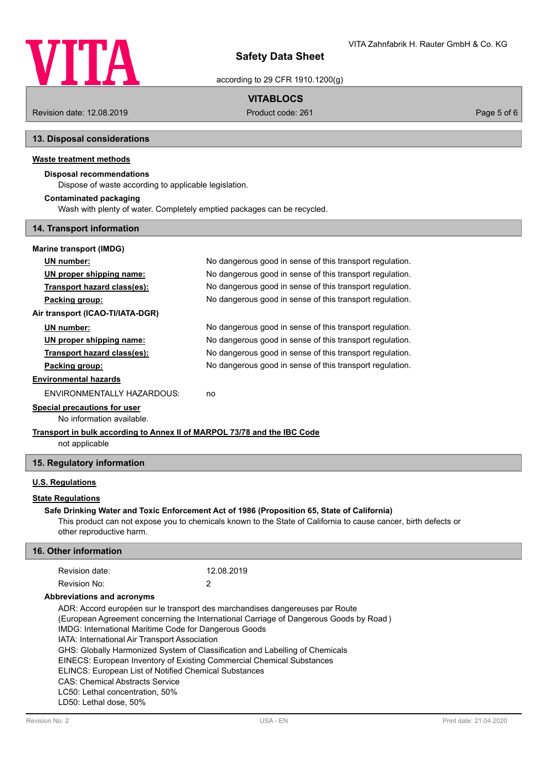

according to 29 CFR 1910.1200(g)

## **VITABLOCS**

Revision date: 12.08.2019 **Product code: 261** Product code: 261 **Page 5 of 6** Page 5 of 6

## **13. Disposal considerations**

## **Waste treatment methods**

## **Disposal recommendations**

Dispose of waste according to applicable legislation.

## **Contaminated packaging**

Wash with plenty of water. Completely emptied packages can be recycled.

## **14. Transport information**

## **Marine transport (IMDG)**

| UN number:                                                | No dangerous good in sense of this transport regulation. |
|-----------------------------------------------------------|----------------------------------------------------------|
| UN proper shipping name:                                  | No dangerous good in sense of this transport regulation. |
| Transport hazard class(es):                               | No dangerous good in sense of this transport regulation. |
| Packing group:                                            | No dangerous good in sense of this transport regulation. |
| Air transport (ICAO-TI/IATA-DGR)                          |                                                          |
| UN number:                                                | No dangerous good in sense of this transport regulation. |
| UN proper shipping name:                                  | No dangerous good in sense of this transport regulation. |
| Transport hazard class(es):                               | No dangerous good in sense of this transport regulation. |
| Packing group:                                            | No dangerous good in sense of this transport regulation. |
| <b>Environmental hazards</b>                              |                                                          |
| <b>ENVIRONMENTALLY HAZARDOUS:</b>                         | no                                                       |
| Special precautions for user<br>No information available. |                                                          |

# **Transport in bulk according to Annex II of MARPOL 73/78 and the IBC Code**

not applicable

## **15. Regulatory information**

## **U.S. Regulations**

## **State Regulations**

## **Safe Drinking Water and Toxic Enforcement Act of 1986 (Proposition 65, State of California)**

This product can not expose you to chemicals known to the State of California to cause cancer, birth defects or other reproductive harm.

| 16. Other information                                                                                                                                |                                                                                                                                                                                                                                                                                                                                                                |                                                                                       |  |
|------------------------------------------------------------------------------------------------------------------------------------------------------|----------------------------------------------------------------------------------------------------------------------------------------------------------------------------------------------------------------------------------------------------------------------------------------------------------------------------------------------------------------|---------------------------------------------------------------------------------------|--|
| Revision date:                                                                                                                                       | 12.08.2019                                                                                                                                                                                                                                                                                                                                                     |                                                                                       |  |
| Revision No:                                                                                                                                         | 2                                                                                                                                                                                                                                                                                                                                                              |                                                                                       |  |
| <b>Abbreviations and acronyms</b>                                                                                                                    |                                                                                                                                                                                                                                                                                                                                                                |                                                                                       |  |
| IATA: International Air Transport Association<br><b>CAS: Chemical Abstracts Service</b><br>LC50: Lethal concentration, 50%<br>LD50: Lethal dose, 50% | ADR: Accord européen sur le transport des marchandises dangereuses par Route<br>IMDG: International Maritime Code for Dangerous Goods<br>GHS: Globally Harmonized System of Classification and Labelling of Chemicals<br>EINECS: European Inventory of Existing Commercial Chemical Substances<br><b>ELINCS: European List of Notified Chemical Substances</b> | (European Agreement concerning the International Carriage of Dangerous Goods by Road) |  |